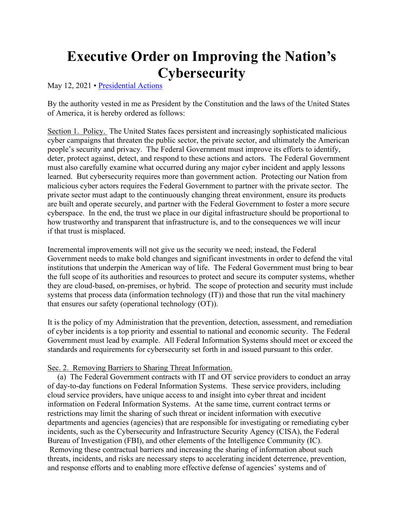# **Executive Order on Improving the Nation's Cybersecurity**

May 12, 2021 • [Presidential Actions](https://www.whitehouse.gov/briefing-room/presidential-actions/)

By the authority vested in me as President by the Constitution and the laws of the United States of America, it is hereby ordered as follows:

Section 1. Policy. The United States faces persistent and increasingly sophisticated malicious cyber campaigns that threaten the public sector, the private sector, and ultimately the American people's security and privacy. The Federal Government must improve its efforts to identify, deter, protect against, detect, and respond to these actions and actors. The Federal Government must also carefully examine what occurred during any major cyber incident and apply lessons learned. But cybersecurity requires more than government action. Protecting our Nation from malicious cyber actors requires the Federal Government to partner with the private sector. The private sector must adapt to the continuously changing threat environment, ensure its products are built and operate securely, and partner with the Federal Government to foster a more secure cyberspace. In the end, the trust we place in our digital infrastructure should be proportional to how trustworthy and transparent that infrastructure is, and to the consequences we will incur if that trust is misplaced.

Incremental improvements will not give us the security we need; instead, the Federal Government needs to make bold changes and significant investments in order to defend the vital institutions that underpin the American way of life. The Federal Government must bring to bear the full scope of its authorities and resources to protect and secure its computer systems, whether they are cloud-based, on-premises, or hybrid. The scope of protection and security must include systems that process data (information technology (IT)) and those that run the vital machinery that ensures our safety (operational technology (OT)).

It is the policy of my Administration that the prevention, detection, assessment, and remediation of cyber incidents is a top priority and essential to national and economic security. The Federal Government must lead by example. All Federal Information Systems should meet or exceed the standards and requirements for cybersecurity set forth in and issued pursuant to this order.

## Sec. 2. Removing Barriers to Sharing Threat Information.

 (a) The Federal Government contracts with IT and OT service providers to conduct an array of day-to-day functions on Federal Information Systems. These service providers, including cloud service providers, have unique access to and insight into cyber threat and incident information on Federal Information Systems. At the same time, current contract terms or restrictions may limit the sharing of such threat or incident information with executive departments and agencies (agencies) that are responsible for investigating or remediating cyber incidents, such as the Cybersecurity and Infrastructure Security Agency (CISA), the Federal Bureau of Investigation (FBI), and other elements of the Intelligence Community (IC).

Removing these contractual barriers and increasing the sharing of information about such threats, incidents, and risks are necessary steps to accelerating incident deterrence, prevention, and response efforts and to enabling more effective defense of agencies' systems and of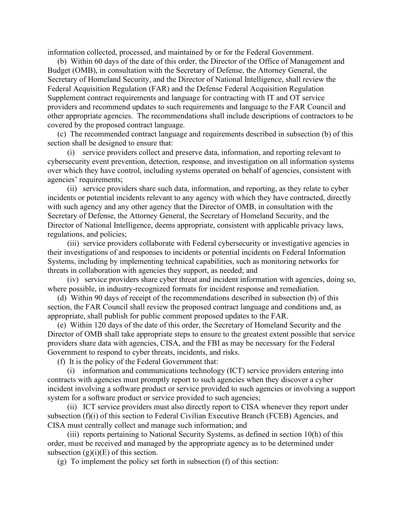information collected, processed, and maintained by or for the Federal Government.

 (b) Within 60 days of the date of this order, the Director of the Office of Management and Budget (OMB), in consultation with the Secretary of Defense, the Attorney General, the Secretary of Homeland Security, and the Director of National Intelligence, shall review the Federal Acquisition Regulation (FAR) and the Defense Federal Acquisition Regulation Supplement contract requirements and language for contracting with IT and OT service providers and recommend updates to such requirements and language to the FAR Council and other appropriate agencies. The recommendations shall include descriptions of contractors to be covered by the proposed contract language.

 (c) The recommended contract language and requirements described in subsection (b) of this section shall be designed to ensure that:

 (i) service providers collect and preserve data, information, and reporting relevant to cybersecurity event prevention, detection, response, and investigation on all information systems over which they have control, including systems operated on behalf of agencies, consistent with agencies' requirements;

 (ii) service providers share such data, information, and reporting, as they relate to cyber incidents or potential incidents relevant to any agency with which they have contracted, directly with such agency and any other agency that the Director of OMB, in consultation with the Secretary of Defense, the Attorney General, the Secretary of Homeland Security, and the Director of National Intelligence, deems appropriate, consistent with applicable privacy laws, regulations, and policies;

 (iii) service providers collaborate with Federal cybersecurity or investigative agencies in their investigations of and responses to incidents or potential incidents on Federal Information Systems, including by implementing technical capabilities, such as monitoring networks for threats in collaboration with agencies they support, as needed; and

 (iv) service providers share cyber threat and incident information with agencies, doing so, where possible, in industry-recognized formats for incident response and remediation.

(d) Within 90 days of receipt of the recommendations described in subsection (b) of this section, the FAR Council shall review the proposed contract language and conditions and, as appropriate, shall publish for public comment proposed updates to the FAR.

(e) Within 120 days of the date of this order, the Secretary of Homeland Security and the Director of OMB shall take appropriate steps to ensure to the greatest extent possible that service providers share data with agencies, CISA, and the FBI as may be necessary for the Federal Government to respond to cyber threats, incidents, and risks.

(f) It is the policy of the Federal Government that:

 (i) information and communications technology (ICT) service providers entering into contracts with agencies must promptly report to such agencies when they discover a cyber incident involving a software product or service provided to such agencies or involving a support system for a software product or service provided to such agencies;

 (ii) ICT service providers must also directly report to CISA whenever they report under subsection (f)(i) of this section to Federal Civilian Executive Branch (FCEB) Agencies, and CISA must centrally collect and manage such information; and

 (iii) reports pertaining to National Security Systems, as defined in section 10(h) of this order, must be received and managed by the appropriate agency as to be determined under subsection  $(g)(i)(E)$  of this section.

(g) To implement the policy set forth in subsection (f) of this section: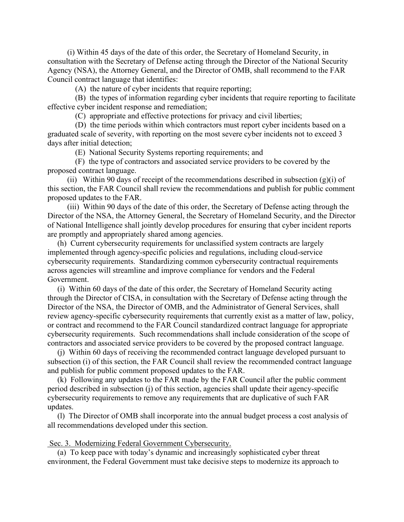(i) Within 45 days of the date of this order, the Secretary of Homeland Security, in consultation with the Secretary of Defense acting through the Director of the National Security Agency (NSA), the Attorney General, and the Director of OMB, shall recommend to the FAR Council contract language that identifies:

(A) the nature of cyber incidents that require reporting;

 (B) the types of information regarding cyber incidents that require reporting to facilitate effective cyber incident response and remediation;

(C) appropriate and effective protections for privacy and civil liberties;

 (D) the time periods within which contractors must report cyber incidents based on a graduated scale of severity, with reporting on the most severe cyber incidents not to exceed 3 days after initial detection;

(E) National Security Systems reporting requirements; and

 (F) the type of contractors and associated service providers to be covered by the proposed contract language.

(ii) Within 90 days of receipt of the recommendations described in subsection  $(g)(i)$  of this section, the FAR Council shall review the recommendations and publish for public comment proposed updates to the FAR.

 (iii) Within 90 days of the date of this order, the Secretary of Defense acting through the Director of the NSA, the Attorney General, the Secretary of Homeland Security, and the Director of National Intelligence shall jointly develop procedures for ensuring that cyber incident reports are promptly and appropriately shared among agencies.

 (h) Current cybersecurity requirements for unclassified system contracts are largely implemented through agency-specific policies and regulations, including cloud-service cybersecurity requirements. Standardizing common cybersecurity contractual requirements across agencies will streamline and improve compliance for vendors and the Federal Government.

 (i) Within 60 days of the date of this order, the Secretary of Homeland Security acting through the Director of CISA, in consultation with the Secretary of Defense acting through the Director of the NSA, the Director of OMB, and the Administrator of General Services, shall review agency-specific cybersecurity requirements that currently exist as a matter of law, policy, or contract and recommend to the FAR Council standardized contract language for appropriate cybersecurity requirements. Such recommendations shall include consideration of the scope of contractors and associated service providers to be covered by the proposed contract language.

 (j) Within 60 days of receiving the recommended contract language developed pursuant to subsection (i) of this section, the FAR Council shall review the recommended contract language and publish for public comment proposed updates to the FAR.

 (k) Following any updates to the FAR made by the FAR Council after the public comment period described in subsection (j) of this section, agencies shall update their agency-specific cybersecurity requirements to remove any requirements that are duplicative of such FAR updates.

 (l) The Director of OMB shall incorporate into the annual budget process a cost analysis of all recommendations developed under this section.

## Sec. 3. Modernizing Federal Government Cybersecurity.

 (a) To keep pace with today's dynamic and increasingly sophisticated cyber threat environment, the Federal Government must take decisive steps to modernize its approach to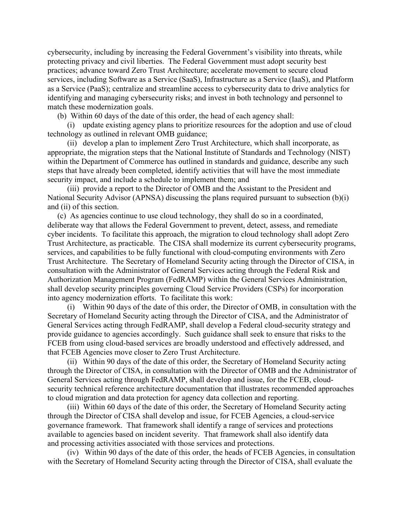cybersecurity, including by increasing the Federal Government's visibility into threats, while protecting privacy and civil liberties. The Federal Government must adopt security best practices; advance toward Zero Trust Architecture; accelerate movement to secure cloud services, including Software as a Service (SaaS), Infrastructure as a Service (IaaS), and Platform as a Service (PaaS); centralize and streamline access to cybersecurity data to drive analytics for identifying and managing cybersecurity risks; and invest in both technology and personnel to match these modernization goals.

(b) Within 60 days of the date of this order, the head of each agency shall:

 (i) update existing agency plans to prioritize resources for the adoption and use of cloud technology as outlined in relevant OMB guidance;

 (ii) develop a plan to implement Zero Trust Architecture, which shall incorporate, as appropriate, the migration steps that the National Institute of Standards and Technology (NIST) within the Department of Commerce has outlined in standards and guidance, describe any such steps that have already been completed, identify activities that will have the most immediate security impact, and include a schedule to implement them; and

 (iii) provide a report to the Director of OMB and the Assistant to the President and National Security Advisor (APNSA) discussing the plans required pursuant to subsection (b)(i) and (ii) of this section.

 (c) As agencies continue to use cloud technology, they shall do so in a coordinated, deliberate way that allows the Federal Government to prevent, detect, assess, and remediate cyber incidents. To facilitate this approach, the migration to cloud technology shall adopt Zero Trust Architecture, as practicable. The CISA shall modernize its current cybersecurity programs, services, and capabilities to be fully functional with cloud-computing environments with Zero Trust Architecture. The Secretary of Homeland Security acting through the Director of CISA, in consultation with the Administrator of General Services acting through the Federal Risk and Authorization Management Program (FedRAMP) within the General Services Administration, shall develop security principles governing Cloud Service Providers (CSPs) for incorporation into agency modernization efforts. To facilitate this work:

 (i) Within 90 days of the date of this order, the Director of OMB, in consultation with the Secretary of Homeland Security acting through the Director of CISA, and the Administrator of General Services acting through FedRAMP, shall develop a Federal cloud-security strategy and provide guidance to agencies accordingly. Such guidance shall seek to ensure that risks to the FCEB from using cloud-based services are broadly understood and effectively addressed, and that FCEB Agencies move closer to Zero Trust Architecture.

 (ii) Within 90 days of the date of this order, the Secretary of Homeland Security acting through the Director of CISA, in consultation with the Director of OMB and the Administrator of General Services acting through FedRAMP, shall develop and issue, for the FCEB, cloudsecurity technical reference architecture documentation that illustrates recommended approaches to cloud migration and data protection for agency data collection and reporting.

 (iii) Within 60 days of the date of this order, the Secretary of Homeland Security acting through the Director of CISA shall develop and issue, for FCEB Agencies, a cloud-service governance framework. That framework shall identify a range of services and protections available to agencies based on incident severity. That framework shall also identify data and processing activities associated with those services and protections.

 (iv) Within 90 days of the date of this order, the heads of FCEB Agencies, in consultation with the Secretary of Homeland Security acting through the Director of CISA, shall evaluate the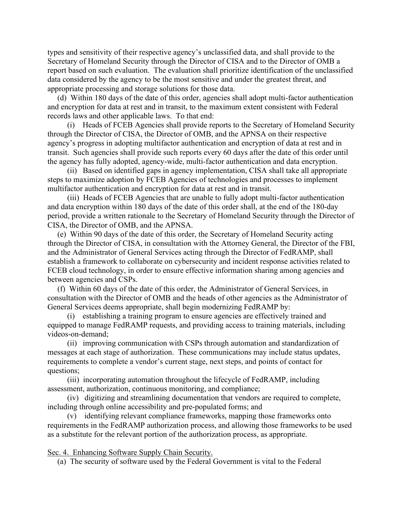types and sensitivity of their respective agency's unclassified data, and shall provide to the Secretary of Homeland Security through the Director of CISA and to the Director of OMB a report based on such evaluation. The evaluation shall prioritize identification of the unclassified data considered by the agency to be the most sensitive and under the greatest threat, and appropriate processing and storage solutions for those data.

 (d) Within 180 days of the date of this order, agencies shall adopt multi-factor authentication and encryption for data at rest and in transit, to the maximum extent consistent with Federal records laws and other applicable laws. To that end:

 (i) Heads of FCEB Agencies shall provide reports to the Secretary of Homeland Security through the Director of CISA, the Director of OMB, and the APNSA on their respective agency's progress in adopting multifactor authentication and encryption of data at rest and in transit. Such agencies shall provide such reports every 60 days after the date of this order until the agency has fully adopted, agency-wide, multi-factor authentication and data encryption.

 (ii) Based on identified gaps in agency implementation, CISA shall take all appropriate steps to maximize adoption by FCEB Agencies of technologies and processes to implement multifactor authentication and encryption for data at rest and in transit.

 (iii) Heads of FCEB Agencies that are unable to fully adopt multi-factor authentication and data encryption within 180 days of the date of this order shall, at the end of the 180-day period, provide a written rationale to the Secretary of Homeland Security through the Director of CISA, the Director of OMB, and the APNSA.

 (e) Within 90 days of the date of this order, the Secretary of Homeland Security acting through the Director of CISA, in consultation with the Attorney General, the Director of the FBI, and the Administrator of General Services acting through the Director of FedRAMP, shall establish a framework to collaborate on cybersecurity and incident response activities related to FCEB cloud technology, in order to ensure effective information sharing among agencies and between agencies and CSPs.

 (f) Within 60 days of the date of this order, the Administrator of General Services, in consultation with the Director of OMB and the heads of other agencies as the Administrator of General Services deems appropriate, shall begin modernizing FedRAMP by:

 (i) establishing a training program to ensure agencies are effectively trained and equipped to manage FedRAMP requests, and providing access to training materials, including videos-on-demand;

 (ii) improving communication with CSPs through automation and standardization of messages at each stage of authorization. These communications may include status updates, requirements to complete a vendor's current stage, next steps, and points of contact for questions;

 (iii) incorporating automation throughout the lifecycle of FedRAMP, including assessment, authorization, continuous monitoring, and compliance;

 (iv) digitizing and streamlining documentation that vendors are required to complete, including through online accessibility and pre-populated forms; and

 (v) identifying relevant compliance frameworks, mapping those frameworks onto requirements in the FedRAMP authorization process, and allowing those frameworks to be used as a substitute for the relevant portion of the authorization process, as appropriate.

Sec. 4. Enhancing Software Supply Chain Security.

(a) The security of software used by the Federal Government is vital to the Federal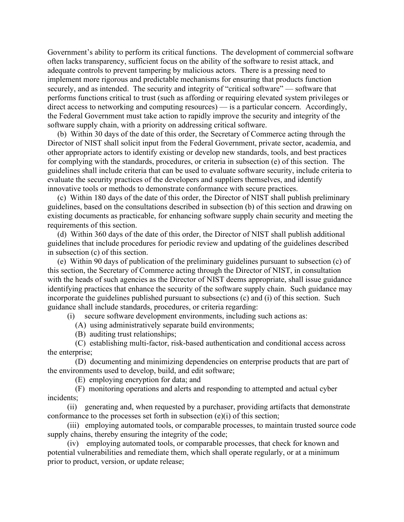Government's ability to perform its critical functions. The development of commercial software often lacks transparency, sufficient focus on the ability of the software to resist attack, and adequate controls to prevent tampering by malicious actors. There is a pressing need to implement more rigorous and predictable mechanisms for ensuring that products function securely, and as intended. The security and integrity of "critical software" — software that performs functions critical to trust (such as affording or requiring elevated system privileges or direct access to networking and computing resources) — is a particular concern. Accordingly, the Federal Government must take action to rapidly improve the security and integrity of the software supply chain, with a priority on addressing critical software.

 (b) Within 30 days of the date of this order, the Secretary of Commerce acting through the Director of NIST shall solicit input from the Federal Government, private sector, academia, and other appropriate actors to identify existing or develop new standards, tools, and best practices for complying with the standards, procedures, or criteria in subsection (e) of this section. The guidelines shall include criteria that can be used to evaluate software security, include criteria to evaluate the security practices of the developers and suppliers themselves, and identify innovative tools or methods to demonstrate conformance with secure practices.

 (c) Within 180 days of the date of this order, the Director of NIST shall publish preliminary guidelines, based on the consultations described in subsection (b) of this section and drawing on existing documents as practicable, for enhancing software supply chain security and meeting the requirements of this section.

 (d) Within 360 days of the date of this order, the Director of NIST shall publish additional guidelines that include procedures for periodic review and updating of the guidelines described in subsection (c) of this section.

 (e) Within 90 days of publication of the preliminary guidelines pursuant to subsection (c) of this section, the Secretary of Commerce acting through the Director of NIST, in consultation with the heads of such agencies as the Director of NIST deems appropriate, shall issue guidance identifying practices that enhance the security of the software supply chain. Such guidance may incorporate the guidelines published pursuant to subsections (c) and (i) of this section. Such guidance shall include standards, procedures, or criteria regarding:

(i) secure software development environments, including such actions as:

(A) using administratively separate build environments;

(B) auditing trust relationships;

 (C) establishing multi-factor, risk-based authentication and conditional access across the enterprise;

 (D) documenting and minimizing dependencies on enterprise products that are part of the environments used to develop, build, and edit software;

(E) employing encryption for data; and

 (F) monitoring operations and alerts and responding to attempted and actual cyber incidents;

 (ii) generating and, when requested by a purchaser, providing artifacts that demonstrate conformance to the processes set forth in subsection (e)(i) of this section;

 (iii) employing automated tools, or comparable processes, to maintain trusted source code supply chains, thereby ensuring the integrity of the code;

 (iv) employing automated tools, or comparable processes, that check for known and potential vulnerabilities and remediate them, which shall operate regularly, or at a minimum prior to product, version, or update release;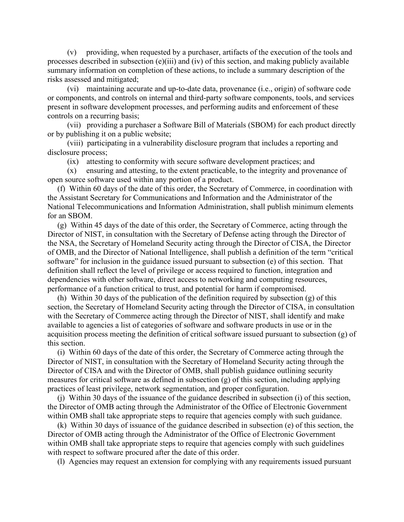(v) providing, when requested by a purchaser, artifacts of the execution of the tools and processes described in subsection (e)(iii) and (iv) of this section, and making publicly available summary information on completion of these actions, to include a summary description of the risks assessed and mitigated;

 (vi) maintaining accurate and up-to-date data, provenance (i.e., origin) of software code or components, and controls on internal and third-party software components, tools, and services present in software development processes, and performing audits and enforcement of these controls on a recurring basis;

 (vii) providing a purchaser a Software Bill of Materials (SBOM) for each product directly or by publishing it on a public website;

 (viii) participating in a vulnerability disclosure program that includes a reporting and disclosure process;

(ix) attesting to conformity with secure software development practices; and

 (x) ensuring and attesting, to the extent practicable, to the integrity and provenance of open source software used within any portion of a product.

 (f) Within 60 days of the date of this order, the Secretary of Commerce, in coordination with the Assistant Secretary for Communications and Information and the Administrator of the National Telecommunications and Information Administration, shall publish minimum elements for an SBOM.

 (g) Within 45 days of the date of this order, the Secretary of Commerce, acting through the Director of NIST, in consultation with the Secretary of Defense acting through the Director of the NSA, the Secretary of Homeland Security acting through the Director of CISA, the Director of OMB, and the Director of National Intelligence, shall publish a definition of the term "critical software" for inclusion in the guidance issued pursuant to subsection (e) of this section. That definition shall reflect the level of privilege or access required to function, integration and dependencies with other software, direct access to networking and computing resources, performance of a function critical to trust, and potential for harm if compromised.

 (h) Within 30 days of the publication of the definition required by subsection (g) of this section, the Secretary of Homeland Security acting through the Director of CISA, in consultation with the Secretary of Commerce acting through the Director of NIST, shall identify and make available to agencies a list of categories of software and software products in use or in the acquisition process meeting the definition of critical software issued pursuant to subsection (g) of this section.

 (i) Within 60 days of the date of this order, the Secretary of Commerce acting through the Director of NIST, in consultation with the Secretary of Homeland Security acting through the Director of CISA and with the Director of OMB, shall publish guidance outlining security measures for critical software as defined in subsection (g) of this section, including applying practices of least privilege, network segmentation, and proper configuration.

 (j) Within 30 days of the issuance of the guidance described in subsection (i) of this section, the Director of OMB acting through the Administrator of the Office of Electronic Government within OMB shall take appropriate steps to require that agencies comply with such guidance.

 (k) Within 30 days of issuance of the guidance described in subsection (e) of this section, the Director of OMB acting through the Administrator of the Office of Electronic Government within OMB shall take appropriate steps to require that agencies comply with such guidelines with respect to software procured after the date of this order.

(l) Agencies may request an extension for complying with any requirements issued pursuant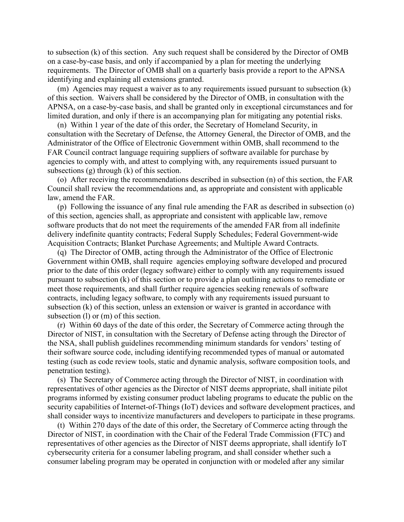to subsection (k) of this section. Any such request shall be considered by the Director of OMB on a case-by-case basis, and only if accompanied by a plan for meeting the underlying requirements. The Director of OMB shall on a quarterly basis provide a report to the APNSA identifying and explaining all extensions granted.

 (m) Agencies may request a waiver as to any requirements issued pursuant to subsection (k) of this section. Waivers shall be considered by the Director of OMB, in consultation with the APNSA, on a case-by-case basis, and shall be granted only in exceptional circumstances and for limited duration, and only if there is an accompanying plan for mitigating any potential risks.

 (n) Within 1 year of the date of this order, the Secretary of Homeland Security, in consultation with the Secretary of Defense, the Attorney General, the Director of OMB, and the Administrator of the Office of Electronic Government within OMB, shall recommend to the FAR Council contract language requiring suppliers of software available for purchase by agencies to comply with, and attest to complying with, any requirements issued pursuant to subsections (g) through (k) of this section.

 (o) After receiving the recommendations described in subsection (n) of this section, the FAR Council shall review the recommendations and, as appropriate and consistent with applicable law, amend the FAR.

 (p) Following the issuance of any final rule amending the FAR as described in subsection (o) of this section, agencies shall, as appropriate and consistent with applicable law, remove software products that do not meet the requirements of the amended FAR from all indefinite delivery indefinite quantity contracts; Federal Supply Schedules; Federal Government-wide Acquisition Contracts; Blanket Purchase Agreements; and Multiple Award Contracts.

 (q) The Director of OMB, acting through the Administrator of the Office of Electronic Government within OMB, shall require agencies employing software developed and procured prior to the date of this order (legacy software) either to comply with any requirements issued pursuant to subsection (k) of this section or to provide a plan outlining actions to remediate or meet those requirements, and shall further require agencies seeking renewals of software contracts, including legacy software, to comply with any requirements issued pursuant to subsection (k) of this section, unless an extension or waiver is granted in accordance with subsection (l) or (m) of this section.

 (r) Within 60 days of the date of this order, the Secretary of Commerce acting through the Director of NIST, in consultation with the Secretary of Defense acting through the Director of the NSA, shall publish guidelines recommending minimum standards for vendors' testing of their software source code, including identifying recommended types of manual or automated testing (such as code review tools, static and dynamic analysis, software composition tools, and penetration testing).

 (s) The Secretary of Commerce acting through the Director of NIST, in coordination with representatives of other agencies as the Director of NIST deems appropriate, shall initiate pilot programs informed by existing consumer product labeling programs to educate the public on the security capabilities of Internet-of-Things (IoT) devices and software development practices, and shall consider ways to incentivize manufacturers and developers to participate in these programs.

 (t) Within 270 days of the date of this order, the Secretary of Commerce acting through the Director of NIST, in coordination with the Chair of the Federal Trade Commission (FTC) and representatives of other agencies as the Director of NIST deems appropriate, shall identify IoT cybersecurity criteria for a consumer labeling program, and shall consider whether such a consumer labeling program may be operated in conjunction with or modeled after any similar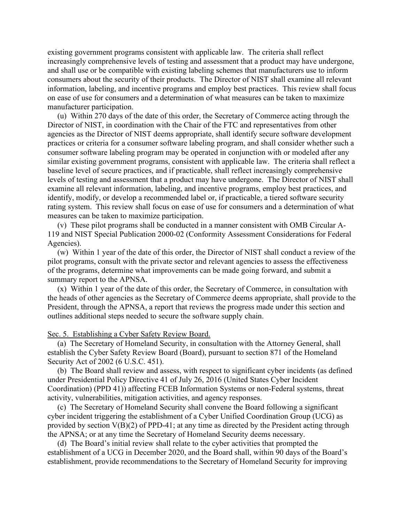existing government programs consistent with applicable law. The criteria shall reflect increasingly comprehensive levels of testing and assessment that a product may have undergone, and shall use or be compatible with existing labeling schemes that manufacturers use to inform consumers about the security of their products. The Director of NIST shall examine all relevant information, labeling, and incentive programs and employ best practices. This review shall focus on ease of use for consumers and a determination of what measures can be taken to maximize manufacturer participation.

 (u) Within 270 days of the date of this order, the Secretary of Commerce acting through the Director of NIST, in coordination with the Chair of the FTC and representatives from other agencies as the Director of NIST deems appropriate, shall identify secure software development practices or criteria for a consumer software labeling program, and shall consider whether such a consumer software labeling program may be operated in conjunction with or modeled after any similar existing government programs, consistent with applicable law. The criteria shall reflect a baseline level of secure practices, and if practicable, shall reflect increasingly comprehensive levels of testing and assessment that a product may have undergone. The Director of NIST shall examine all relevant information, labeling, and incentive programs, employ best practices, and identify, modify, or develop a recommended label or, if practicable, a tiered software security rating system. This review shall focus on ease of use for consumers and a determination of what measures can be taken to maximize participation.

 (v) These pilot programs shall be conducted in a manner consistent with OMB Circular A-119 and NIST Special Publication 2000-02 (Conformity Assessment Considerations for Federal Agencies).

 (w) Within 1 year of the date of this order, the Director of NIST shall conduct a review of the pilot programs, consult with the private sector and relevant agencies to assess the effectiveness of the programs, determine what improvements can be made going forward, and submit a summary report to the APNSA.

 (x) Within 1 year of the date of this order, the Secretary of Commerce, in consultation with the heads of other agencies as the Secretary of Commerce deems appropriate, shall provide to the President, through the APNSA, a report that reviews the progress made under this section and outlines additional steps needed to secure the software supply chain.

Sec. 5. Establishing a Cyber Safety Review Board.

 (a) The Secretary of Homeland Security, in consultation with the Attorney General, shall establish the Cyber Safety Review Board (Board), pursuant to section 871 of the Homeland Security Act of 2002 (6 U.S.C. 451).

 (b) The Board shall review and assess, with respect to significant cyber incidents (as defined under Presidential Policy Directive 41 of July 26, 2016 (United States Cyber Incident Coordination) (PPD 41)) affecting FCEB Information Systems or non-Federal systems, threat activity, vulnerabilities, mitigation activities, and agency responses.

 (c) The Secretary of Homeland Security shall convene the Board following a significant cyber incident triggering the establishment of a Cyber Unified Coordination Group (UCG) as provided by section V(B)(2) of PPD-41; at any time as directed by the President acting through the APNSA; or at any time the Secretary of Homeland Security deems necessary.

 (d) The Board's initial review shall relate to the cyber activities that prompted the establishment of a UCG in December 2020, and the Board shall, within 90 days of the Board's establishment, provide recommendations to the Secretary of Homeland Security for improving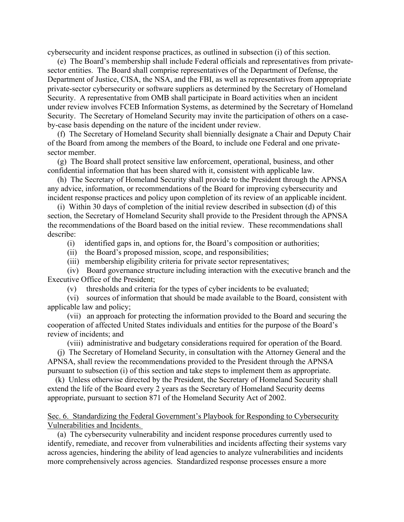cybersecurity and incident response practices, as outlined in subsection (i) of this section.

 (e) The Board's membership shall include Federal officials and representatives from privatesector entities. The Board shall comprise representatives of the Department of Defense, the Department of Justice, CISA, the NSA, and the FBI, as well as representatives from appropriate private-sector cybersecurity or software suppliers as determined by the Secretary of Homeland Security. A representative from OMB shall participate in Board activities when an incident under review involves FCEB Information Systems, as determined by the Secretary of Homeland Security. The Secretary of Homeland Security may invite the participation of others on a caseby-case basis depending on the nature of the incident under review.

 (f) The Secretary of Homeland Security shall biennially designate a Chair and Deputy Chair of the Board from among the members of the Board, to include one Federal and one privatesector member.

 (g) The Board shall protect sensitive law enforcement, operational, business, and other confidential information that has been shared with it, consistent with applicable law.

 (h) The Secretary of Homeland Security shall provide to the President through the APNSA any advice, information, or recommendations of the Board for improving cybersecurity and incident response practices and policy upon completion of its review of an applicable incident.

 (i) Within 30 days of completion of the initial review described in subsection (d) of this section, the Secretary of Homeland Security shall provide to the President through the APNSA the recommendations of the Board based on the initial review. These recommendations shall describe:

- (i) identified gaps in, and options for, the Board's composition or authorities;
- (ii) the Board's proposed mission, scope, and responsibilities;
- (iii) membership eligibility criteria for private sector representatives;

 (iv) Board governance structure including interaction with the executive branch and the Executive Office of the President;

(v) thresholds and criteria for the types of cyber incidents to be evaluated;

 (vi) sources of information that should be made available to the Board, consistent with applicable law and policy;

 (vii) an approach for protecting the information provided to the Board and securing the cooperation of affected United States individuals and entities for the purpose of the Board's review of incidents; and

(viii) administrative and budgetary considerations required for operation of the Board.

 (j) The Secretary of Homeland Security, in consultation with the Attorney General and the APNSA, shall review the recommendations provided to the President through the APNSA pursuant to subsection (i) of this section and take steps to implement them as appropriate.

 (k) Unless otherwise directed by the President, the Secretary of Homeland Security shall extend the life of the Board every 2 years as the Secretary of Homeland Security deems appropriate, pursuant to section 871 of the Homeland Security Act of 2002.

Sec. 6. Standardizing the Federal Government's Playbook for Responding to Cybersecurity Vulnerabilities and Incidents.

 (a) The cybersecurity vulnerability and incident response procedures currently used to identify, remediate, and recover from vulnerabilities and incidents affecting their systems vary across agencies, hindering the ability of lead agencies to analyze vulnerabilities and incidents more comprehensively across agencies. Standardized response processes ensure a more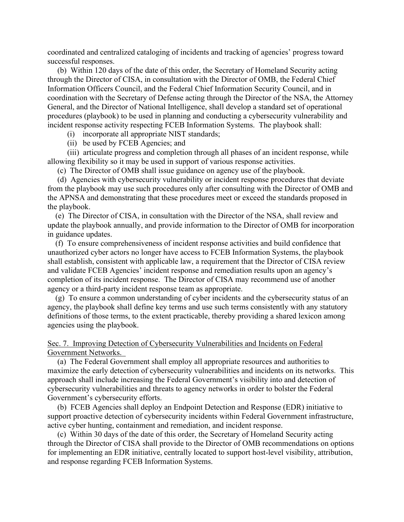coordinated and centralized cataloging of incidents and tracking of agencies' progress toward successful responses.

 (b) Within 120 days of the date of this order, the Secretary of Homeland Security acting through the Director of CISA, in consultation with the Director of OMB, the Federal Chief Information Officers Council, and the Federal Chief Information Security Council, and in coordination with the Secretary of Defense acting through the Director of the NSA, the Attorney General, and the Director of National Intelligence, shall develop a standard set of operational procedures (playbook) to be used in planning and conducting a cybersecurity vulnerability and incident response activity respecting FCEB Information Systems. The playbook shall:

(i) incorporate all appropriate NIST standards;

(ii) be used by FCEB Agencies; and

 (iii) articulate progress and completion through all phases of an incident response, while allowing flexibility so it may be used in support of various response activities.

(c) The Director of OMB shall issue guidance on agency use of the playbook.

 (d) Agencies with cybersecurity vulnerability or incident response procedures that deviate from the playbook may use such procedures only after consulting with the Director of OMB and the APNSA and demonstrating that these procedures meet or exceed the standards proposed in the playbook.

 (e) The Director of CISA, in consultation with the Director of the NSA, shall review and update the playbook annually, and provide information to the Director of OMB for incorporation in guidance updates.

 (f) To ensure comprehensiveness of incident response activities and build confidence that unauthorized cyber actors no longer have access to FCEB Information Systems, the playbook shall establish, consistent with applicable law, a requirement that the Director of CISA review and validate FCEB Agencies' incident response and remediation results upon an agency's completion of its incident response. The Director of CISA may recommend use of another agency or a third-party incident response team as appropriate.

 (g) To ensure a common understanding of cyber incidents and the cybersecurity status of an agency, the playbook shall define key terms and use such terms consistently with any statutory definitions of those terms, to the extent practicable, thereby providing a shared lexicon among agencies using the playbook.

Sec. 7. Improving Detection of Cybersecurity Vulnerabilities and Incidents on Federal Government Networks.

 (a) The Federal Government shall employ all appropriate resources and authorities to maximize the early detection of cybersecurity vulnerabilities and incidents on its networks. This approach shall include increasing the Federal Government's visibility into and detection of cybersecurity vulnerabilities and threats to agency networks in order to bolster the Federal Government's cybersecurity efforts.

 (b) FCEB Agencies shall deploy an Endpoint Detection and Response (EDR) initiative to support proactive detection of cybersecurity incidents within Federal Government infrastructure, active cyber hunting, containment and remediation, and incident response.

 (c) Within 30 days of the date of this order, the Secretary of Homeland Security acting through the Director of CISA shall provide to the Director of OMB recommendations on options for implementing an EDR initiative, centrally located to support host-level visibility, attribution, and response regarding FCEB Information Systems.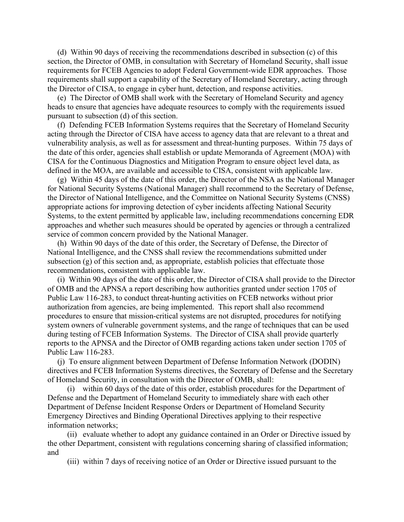(d) Within 90 days of receiving the recommendations described in subsection (c) of this section, the Director of OMB, in consultation with Secretary of Homeland Security, shall issue requirements for FCEB Agencies to adopt Federal Government-wide EDR approaches. Those requirements shall support a capability of the Secretary of Homeland Secretary, acting through the Director of CISA, to engage in cyber hunt, detection, and response activities.

 (e) The Director of OMB shall work with the Secretary of Homeland Security and agency heads to ensure that agencies have adequate resources to comply with the requirements issued pursuant to subsection (d) of this section.

 (f) Defending FCEB Information Systems requires that the Secretary of Homeland Security acting through the Director of CISA have access to agency data that are relevant to a threat and vulnerability analysis, as well as for assessment and threat-hunting purposes. Within 75 days of the date of this order, agencies shall establish or update Memoranda of Agreement (MOA) with CISA for the Continuous Diagnostics and Mitigation Program to ensure object level data, as defined in the MOA, are available and accessible to CISA, consistent with applicable law.

 (g) Within 45 days of the date of this order, the Director of the NSA as the National Manager for National Security Systems (National Manager) shall recommend to the Secretary of Defense, the Director of National Intelligence, and the Committee on National Security Systems (CNSS) appropriate actions for improving detection of cyber incidents affecting National Security Systems, to the extent permitted by applicable law, including recommendations concerning EDR approaches and whether such measures should be operated by agencies or through a centralized service of common concern provided by the National Manager.

 (h) Within 90 days of the date of this order, the Secretary of Defense, the Director of National Intelligence, and the CNSS shall review the recommendations submitted under subsection  $(g)$  of this section and, as appropriate, establish policies that effectuate those recommendations, consistent with applicable law.

 (i) Within 90 days of the date of this order, the Director of CISA shall provide to the Director of OMB and the APNSA a report describing how authorities granted under section 1705 of Public Law 116-283, to conduct threat-hunting activities on FCEB networks without prior authorization from agencies, are being implemented. This report shall also recommend procedures to ensure that mission-critical systems are not disrupted, procedures for notifying system owners of vulnerable government systems, and the range of techniques that can be used during testing of FCEB Information Systems. The Director of CISA shall provide quarterly reports to the APNSA and the Director of OMB regarding actions taken under section 1705 of Public Law 116-283.

 (j) To ensure alignment between Department of Defense Information Network (DODIN) directives and FCEB Information Systems directives, the Secretary of Defense and the Secretary of Homeland Security, in consultation with the Director of OMB, shall:

 (i) within 60 days of the date of this order, establish procedures for the Department of Defense and the Department of Homeland Security to immediately share with each other Department of Defense Incident Response Orders or Department of Homeland Security Emergency Directives and Binding Operational Directives applying to their respective information networks;

 (ii) evaluate whether to adopt any guidance contained in an Order or Directive issued by the other Department, consistent with regulations concerning sharing of classified information; and

(iii) within 7 days of receiving notice of an Order or Directive issued pursuant to the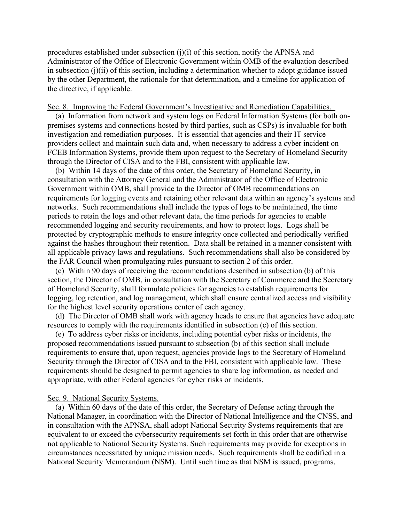procedures established under subsection  $(i)(i)$  of this section, notify the APNSA and Administrator of the Office of Electronic Government within OMB of the evaluation described in subsection (j)(ii) of this section, including a determination whether to adopt guidance issued by the other Department, the rationale for that determination, and a timeline for application of the directive, if applicable.

#### Sec. 8. Improving the Federal Government's Investigative and Remediation Capabilities.

 (a) Information from network and system logs on Federal Information Systems (for both onpremises systems and connections hosted by third parties, such as CSPs) is invaluable for both investigation and remediation purposes. It is essential that agencies and their IT service providers collect and maintain such data and, when necessary to address a cyber incident on FCEB Information Systems, provide them upon request to the Secretary of Homeland Security through the Director of CISA and to the FBI, consistent with applicable law.

 (b) Within 14 days of the date of this order, the Secretary of Homeland Security, in consultation with the Attorney General and the Administrator of the Office of Electronic Government within OMB, shall provide to the Director of OMB recommendations on requirements for logging events and retaining other relevant data within an agency's systems and networks. Such recommendations shall include the types of logs to be maintained, the time periods to retain the logs and other relevant data, the time periods for agencies to enable recommended logging and security requirements, and how to protect logs. Logs shall be protected by cryptographic methods to ensure integrity once collected and periodically verified against the hashes throughout their retention. Data shall be retained in a manner consistent with all applicable privacy laws and regulations. Such recommendations shall also be considered by the FAR Council when promulgating rules pursuant to section 2 of this order.

 (c) Within 90 days of receiving the recommendations described in subsection (b) of this section, the Director of OMB, in consultation with the Secretary of Commerce and the Secretary of Homeland Security, shall formulate policies for agencies to establish requirements for logging, log retention, and log management, which shall ensure centralized access and visibility for the highest level security operations center of each agency.

 (d) The Director of OMB shall work with agency heads to ensure that agencies have adequate resources to comply with the requirements identified in subsection (c) of this section.

 (e) To address cyber risks or incidents, including potential cyber risks or incidents, the proposed recommendations issued pursuant to subsection (b) of this section shall include requirements to ensure that, upon request, agencies provide logs to the Secretary of Homeland Security through the Director of CISA and to the FBI, consistent with applicable law. These requirements should be designed to permit agencies to share log information, as needed and appropriate, with other Federal agencies for cyber risks or incidents.

### Sec. 9. National Security Systems.

 (a) Within 60 days of the date of this order, the Secretary of Defense acting through the National Manager, in coordination with the Director of National Intelligence and the CNSS, and in consultation with the APNSA, shall adopt National Security Systems requirements that are equivalent to or exceed the cybersecurity requirements set forth in this order that are otherwise not applicable to National Security Systems. Such requirements may provide for exceptions in circumstances necessitated by unique mission needs. Such requirements shall be codified in a National Security Memorandum (NSM). Until such time as that NSM is issued, programs,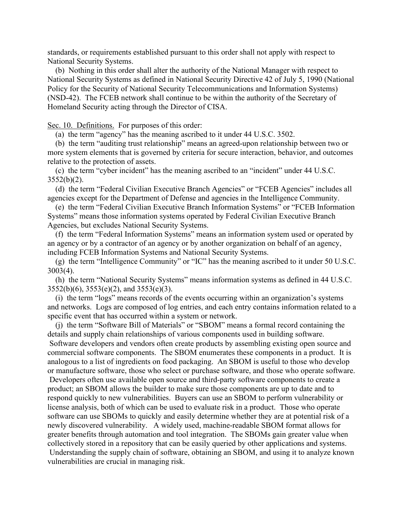standards, or requirements established pursuant to this order shall not apply with respect to National Security Systems.

 (b) Nothing in this order shall alter the authority of the National Manager with respect to National Security Systems as defined in National Security Directive 42 of July 5, 1990 (National Policy for the Security of National Security Telecommunications and Information Systems) (NSD-42). The FCEB network shall continue to be within the authority of the Secretary of Homeland Security acting through the Director of CISA.

Sec. 10. Definitions. For purposes of this order:

(a) the term "agency" has the meaning ascribed to it under 44 U.S.C. 3502.

 (b) the term "auditing trust relationship" means an agreed-upon relationship between two or more system elements that is governed by criteria for secure interaction, behavior, and outcomes relative to the protection of assets.

 (c) the term "cyber incident" has the meaning ascribed to an "incident" under 44 U.S.C.  $3552(b)(2)$ .

 (d) the term "Federal Civilian Executive Branch Agencies" or "FCEB Agencies" includes all agencies except for the Department of Defense and agencies in the Intelligence Community.

 (e) the term "Federal Civilian Executive Branch Information Systems" or "FCEB Information Systems" means those information systems operated by Federal Civilian Executive Branch Agencies, but excludes National Security Systems.

 (f) the term "Federal Information Systems" means an information system used or operated by an agency or by a contractor of an agency or by another organization on behalf of an agency, including FCEB Information Systems and National Security Systems.

 (g) the term "Intelligence Community" or "IC" has the meaning ascribed to it under 50 U.S.C. 3003(4).

 (h) the term "National Security Systems" means information systems as defined in 44 U.S.C. 3552(b)(6), 3553(e)(2), and 3553(e)(3).

 (i) the term "logs" means records of the events occurring within an organization's systems and networks. Logs are composed of log entries, and each entry contains information related to a specific event that has occurred within a system or network.

 (j) the term "Software Bill of Materials" or "SBOM" means a formal record containing the details and supply chain relationships of various components used in building software.

Software developers and vendors often create products by assembling existing open source and commercial software components. The SBOM enumerates these components in a product. It is analogous to a list of ingredients on food packaging. An SBOM is useful to those who develop or manufacture software, those who select or purchase software, and those who operate software. Developers often use available open source and third-party software components to create a product; an SBOM allows the builder to make sure those components are up to date and to respond quickly to new vulnerabilities. Buyers can use an SBOM to perform vulnerability or license analysis, both of which can be used to evaluate risk in a product. Those who operate software can use SBOMs to quickly and easily determine whether they are at potential risk of a newly discovered vulnerability. A widely used, machine-readable SBOM format allows for greater benefits through automation and tool integration. The SBOMs gain greater value when collectively stored in a repository that can be easily queried by other applications and systems. Understanding the supply chain of software, obtaining an SBOM, and using it to analyze known vulnerabilities are crucial in managing risk.